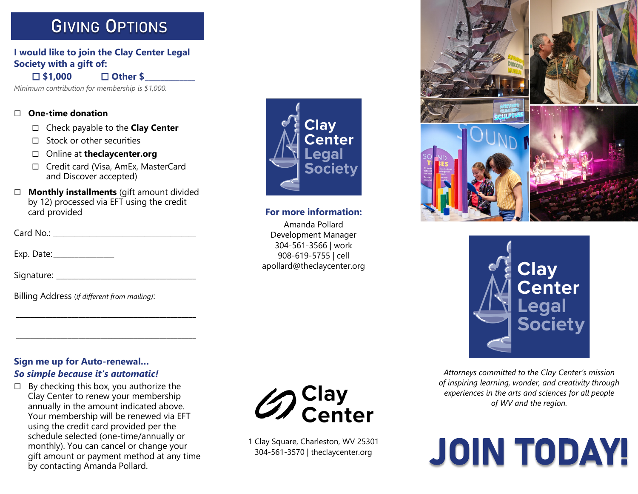# **GIVING OPTIONS**

## **I would like to join the Clay Center Legal Society with a gift of:**

**\$1,000 Other \$\_\_\_\_\_\_\_\_\_\_\_\_\_**

*Minimum contribution for membership is \$1,000.*

#### **One-time donation**

- Check payable to the **Clay Center**
- $\square$  Stock or other securities
- Online at **theclaycenter.org**
- □ Credit card (Visa, AmEx, MasterCard and Discover accepted)
- **Monthly installments** (gift amount divided by 12) processed via EFT using the credit card provided

Card No.: \_\_\_\_\_\_\_\_\_\_\_\_\_\_\_\_\_\_\_\_\_\_\_\_\_\_\_\_\_\_\_\_\_\_\_\_\_\_\_

Exp. Date: \_\_\_\_\_\_\_\_\_\_\_\_\_\_\_\_\_

Signature: \_\_\_\_\_\_\_\_\_\_\_\_\_\_\_\_\_\_\_\_\_\_\_\_\_\_\_\_\_\_\_\_\_\_\_\_\_\_

Billing Address (*if different from mailing)*:

# **Sign me up for Auto-renewal…**  *So simple because it's automatic!*

 $\Box$  By checking this box, you authorize the Clay Center to renew your membership annually in the amount indicated above. Your membership will be renewed via EFT using the credit card provided per the schedule selected (one-time/annually or monthly). You can cancel or change your gift amount or payment method at any time by contacting Amanda Pollard.

\_\_\_\_\_\_\_\_\_\_\_\_\_\_\_\_\_\_\_\_\_\_\_\_\_\_\_\_\_\_\_\_\_\_\_\_\_\_\_\_\_\_\_\_\_\_\_\_\_

\_\_\_\_\_\_\_\_\_\_\_\_\_\_\_\_\_\_\_\_\_\_\_\_\_\_\_\_\_\_\_\_\_\_\_\_\_\_\_\_\_\_\_\_\_\_\_\_\_



### **For more information:**

Amanda Pollard Development Manager 304-561-3566 | work 908-619-5755 | cell apollard@theclaycenter.org





*Attorneys committed to the Clay Center's mission of inspiring learning, wonder, and creativity through experiences in the arts and sciences for all people of WV and the region.*





1 Clay Square, Charleston, WV 25301 304-561-3570 | theclaycenter.org